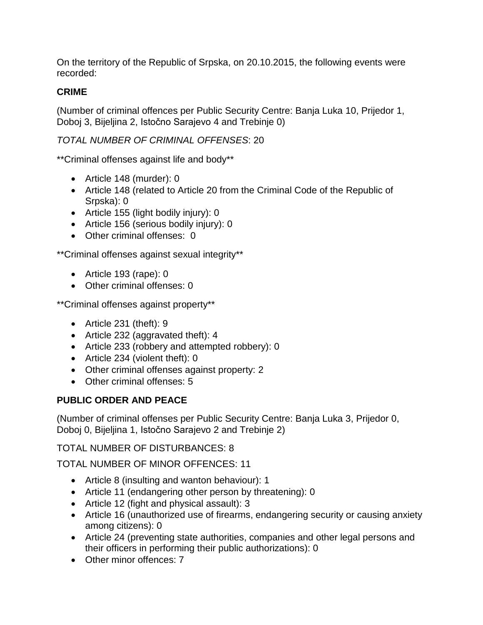On the territory of the Republic of Srpska, on 20.10.2015, the following events were recorded:

## **CRIME**

(Number of criminal offences per Public Security Centre: Banja Luka 10, Prijedor 1, Doboj 3, Bijeljina 2, Istočno Sarajevo 4 and Trebinje 0)

# *TOTAL NUMBER OF CRIMINAL OFFENSES*: 20

\*\*Criminal offenses against life and body\*\*

- Article 148 (murder): 0
- Article 148 (related to Article 20 from the Criminal Code of the Republic of Srpska): 0
- Article 155 (light bodily injury): 0
- Article 156 (serious bodily injury): 0
- Other criminal offenses: 0

\*\*Criminal offenses against sexual integrity\*\*

- Article 193 (rape): 0
- Other criminal offenses: 0

\*\*Criminal offenses against property\*\*

- Article 231 (theft): 9
- Article 232 (aggravated theft): 4
- Article 233 (robbery and attempted robbery): 0
- Article 234 (violent theft): 0
- Other criminal offenses against property: 2
- Other criminal offenses: 5

## **PUBLIC ORDER AND PEACE**

(Number of criminal offenses per Public Security Centre: Banja Luka 3, Prijedor 0, Doboj 0, Bijeljina 1, Istočno Sarajevo 2 and Trebinje 2)

TOTAL NUMBER OF DISTURBANCES: 8

TOTAL NUMBER OF MINOR OFFENCES: 11

- Article 8 (insulting and wanton behaviour): 1
- Article 11 (endangering other person by threatening): 0
- Article 12 (fight and physical assault): 3
- Article 16 (unauthorized use of firearms, endangering security or causing anxiety among citizens): 0
- Article 24 (preventing state authorities, companies and other legal persons and their officers in performing their public authorizations): 0
- Other minor offences: 7